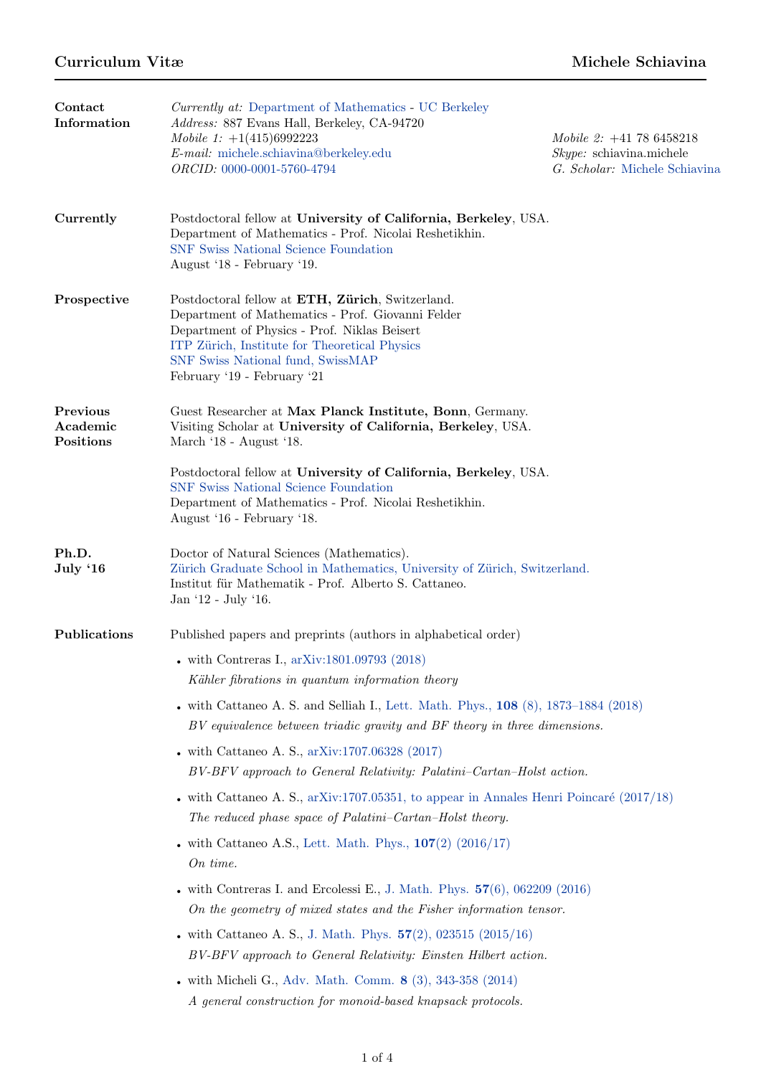| Contact<br>Information            | <i>Currently at:</i> Department of Mathematics - UC Berkeley<br>Address: 887 Evans Hall, Berkeley, CA-94720<br>Mobile 1: $+1(415)6992223$<br>E-mail: michele.schiavina@berkeley.edu<br>ORCID: 0000-0001-5760-4794                                                          | Mobile 2: $+41$ 78 6458218<br>$Skype:$ schiavina.michele<br>G. Scholar: Michele Schiavina |
|-----------------------------------|----------------------------------------------------------------------------------------------------------------------------------------------------------------------------------------------------------------------------------------------------------------------------|-------------------------------------------------------------------------------------------|
| Currently                         | Postdoctoral fellow at University of California, Berkeley, USA.<br>Department of Mathematics - Prof. Nicolai Reshetikhin.<br><b>SNF Swiss National Science Foundation</b><br>August '18 - February '19.                                                                    |                                                                                           |
| Prospective                       | Postdoctoral fellow at ETH, Zürich, Switzerland.<br>Department of Mathematics - Prof. Giovanni Felder<br>Department of Physics - Prof. Niklas Beisert<br>ITP Zürich, Institute for Theoretical Physics<br>SNF Swiss National fund, SwissMAP<br>February '19 - February '21 |                                                                                           |
| Previous<br>Academic<br>Positions | Guest Researcher at Max Planck Institute, Bonn, Germany.<br>Visiting Scholar at University of California, Berkeley, USA.<br>March '18 - August '18.                                                                                                                        |                                                                                           |
|                                   | Postdoctoral fellow at University of California, Berkeley, USA.<br><b>SNF Swiss National Science Foundation</b><br>Department of Mathematics - Prof. Nicolai Reshetikhin.<br>August '16 - February '18.                                                                    |                                                                                           |
| Ph.D.<br>July '16                 | Doctor of Natural Sciences (Mathematics).<br>Zürich Graduate School in Mathematics, University of Zürich, Switzerland.<br>Institut für Mathematik - Prof. Alberto S. Cattaneo.<br>Jan '12 - July '16.                                                                      |                                                                                           |
| Publications                      | Published papers and preprints (authors in alphabetical order)                                                                                                                                                                                                             |                                                                                           |
|                                   | • with Contreras I., $arXiv:1801.09793$ (2018)<br>Kähler fibrations in quantum information theory                                                                                                                                                                          |                                                                                           |
|                                   | . with Cattaneo A. S. and Selliah I., Lett. Math. Phys., 108 (8), 1873–1884 (2018)<br>BV equivalence between triadic gravity and BF theory in three dimensions.                                                                                                            |                                                                                           |
|                                   | - with Cattaneo A. S., $arXiv:1707.06328$ (2017)<br>BV-BFV approach to General Relativity: Palatini-Cartan-Holst action.                                                                                                                                                   |                                                                                           |
|                                   | • with Cattaneo A. S., $arXiv:1707.05351$ , to appear in Annales Henri Poincaré (2017/18)<br>The reduced phase space of Palatini–Cartan–Holst theory.                                                                                                                      |                                                                                           |
|                                   | • with Cattaneo A.S., Lett. Math. Phys., $107(2)$ (2016/17)<br>On time.                                                                                                                                                                                                    |                                                                                           |
|                                   | • with Contreras I. and Ercolessi E., J. Math. Phys. $57(6)$ , $062209$ (2016)<br>On the geometry of mixed states and the Fisher information tensor.                                                                                                                       |                                                                                           |
|                                   | • with Cattaneo A. S., J. Math. Phys. $57(2)$ , 023515 (2015/16)<br>BV-BFV approach to General Relativity: Einsten Hilbert action.                                                                                                                                         |                                                                                           |
|                                   | . with Micheli G., Adv. Math. Comm. 8 (3), 343-358 (2014)<br>A general construction for monoid-based knapsack protocols.                                                                                                                                                   |                                                                                           |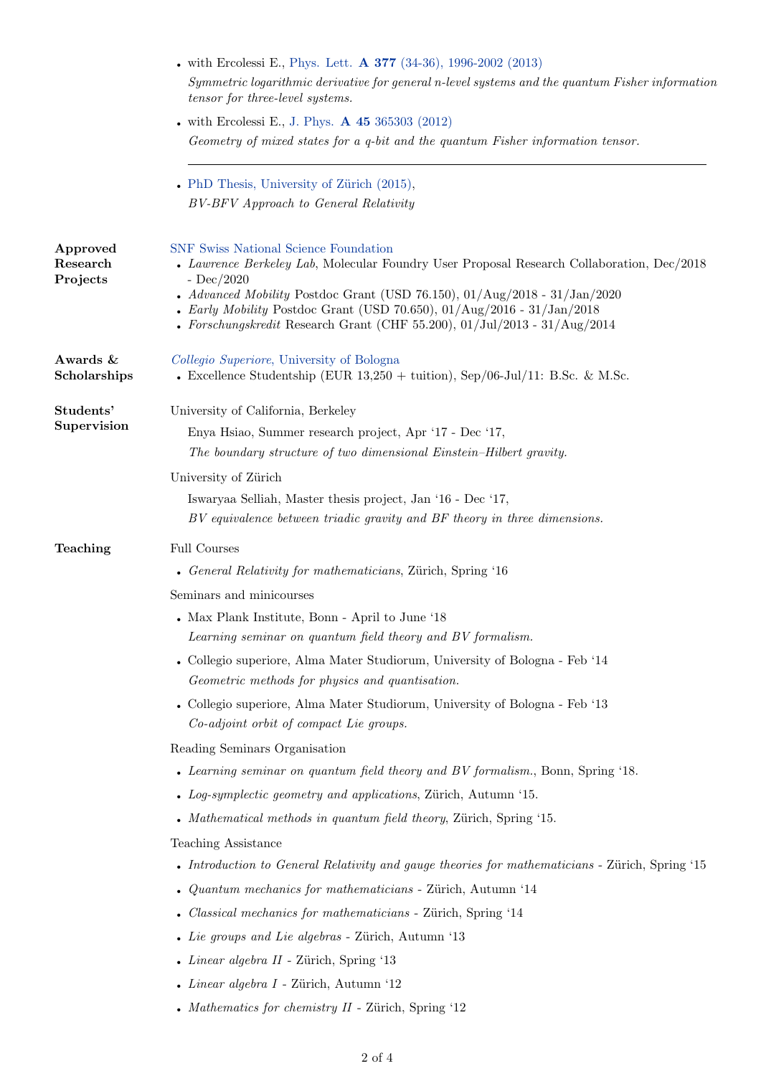|                                  | . with Ercolessi E., Phys. Lett. A 377 (34-36), 1996-2002 (2013)<br>Symmetric logarithmic derivative for general n-level systems and the quantum Fisher information<br>tensor for three-level systems.                                                                                                                                                                                                                     |  |  |
|----------------------------------|----------------------------------------------------------------------------------------------------------------------------------------------------------------------------------------------------------------------------------------------------------------------------------------------------------------------------------------------------------------------------------------------------------------------------|--|--|
|                                  | • with Ercolessi E., J. Phys. $\bf{A}$ 45 365303 (2012)<br>Geometry of mixed states for a q-bit and the quantum Fisher information tensor.                                                                                                                                                                                                                                                                                 |  |  |
|                                  | • PhD Thesis, University of Zürich $(2015)$ ,<br>BV-BFV Approach to General Relativity                                                                                                                                                                                                                                                                                                                                     |  |  |
| Approved<br>Research<br>Projects | SNF Swiss National Science Foundation<br>• Lawrence Berkeley Lab, Molecular Foundry User Proposal Research Collaboration, Dec/2018<br>- $Dec/2020$<br>• Advanced Mobility Postdoc Grant (USD 76.150), $01/\text{Aug}/2018 - 31/\text{Jan}/2020$<br>• Early Mobility Postdoc Grant (USD 70.650), $01/\text{Aug}/2016 - 31/\text{Jan}/2018$<br>- Forschungskredit Research Grant (CHF 55.200), $01/Jul/2013$ - $31/Aug/2014$ |  |  |
| Awards &<br>Scholarships         | Collegio Superiore, University of Bologna<br>• Excellence Studentship (EUR $13,250 + \text{tution}$ ), Sep/06-Jul/11: B.Sc. & M.Sc.                                                                                                                                                                                                                                                                                        |  |  |
| Students'<br>Supervision         | University of California, Berkeley<br>Enya Hsiao, Summer research project, Apr '17 - Dec '17,<br>The boundary structure of two dimensional Einstein-Hilbert gravity.                                                                                                                                                                                                                                                       |  |  |
|                                  | University of Zürich<br>Iswaryaa Selliah, Master thesis project, Jan '16 - Dec '17,<br>BV equivalence between triadic gravity and BF theory in three dimensions.                                                                                                                                                                                                                                                           |  |  |
| Teaching                         | Full Courses                                                                                                                                                                                                                                                                                                                                                                                                               |  |  |
|                                  | • General Relativity for mathematicians, Zürich, Spring '16<br>Seminars and minicourses<br>• Max Plank Institute, Bonn - April to June '18                                                                                                                                                                                                                                                                                 |  |  |
|                                  | Learning seminar on quantum field theory and BV formalism.<br>• Collegio superiore, Alma Mater Studiorum, University of Bologna - Feb '14<br>Geometric methods for physics and quantisation.                                                                                                                                                                                                                               |  |  |
|                                  | • Collegio superiore, Alma Mater Studiorum, University of Bologna - Feb '13<br>Co-adjoint orbit of compact Lie groups.                                                                                                                                                                                                                                                                                                     |  |  |
|                                  | Reading Seminars Organisation<br>• Learning seminar on quantum field theory and BV formalism., Bonn, Spring '18.<br>• Log-symplectic geometry and applications, Zürich, Autumn '15.<br>• Mathematical methods in quantum field theory, Zürich, Spring '15.                                                                                                                                                                 |  |  |
|                                  | <b>Teaching Assistance</b><br>• Introduction to General Relativity and gauge theories for mathematicians - Zürich, Spring '15<br>• Quantum mechanics for mathematicians - Zürich, Autumn '14<br>• Classical mechanics for mathematicians - Zürich, Spring '14<br>• Lie groups and Lie algebras - Zürich, Autumn '13<br>• <i>Linear algebra II</i> - Zürich, Spring $13$                                                    |  |  |
|                                  | • <i>Linear algebra I</i> - Zürich, Autumn $12$<br>• Mathematics for chemistry $II$ - Zürich, Spring '12                                                                                                                                                                                                                                                                                                                   |  |  |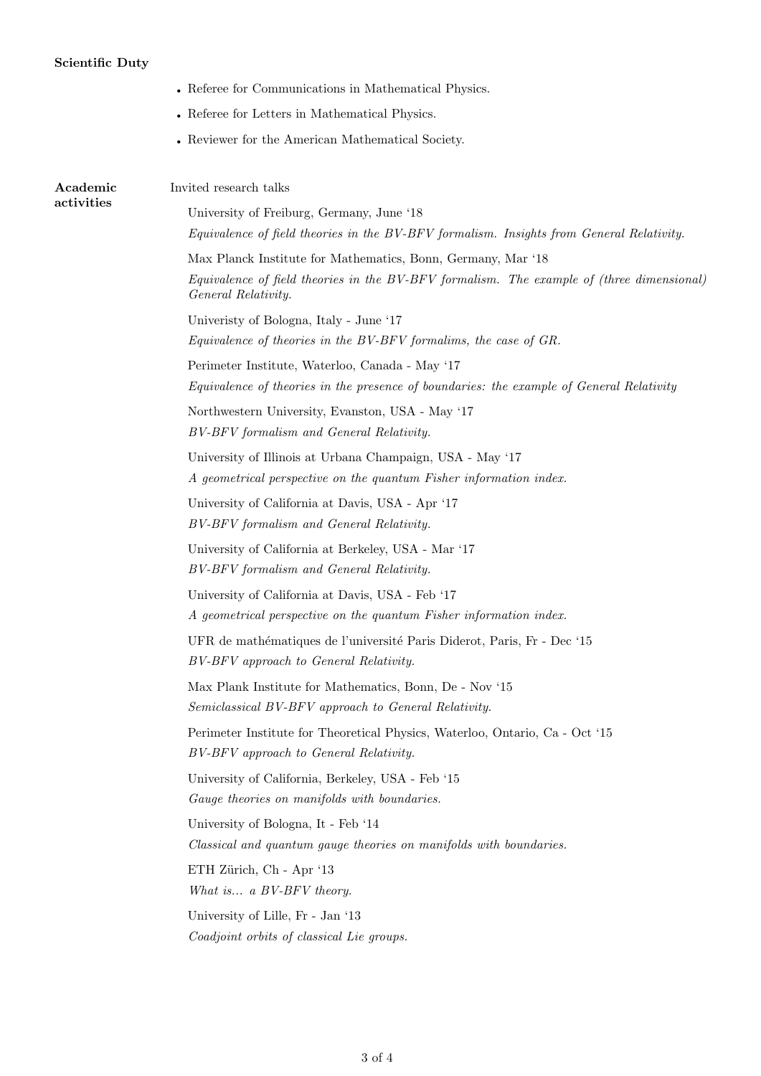## Scientific Duty

|                        | • Referee for Communications in Mathematical Physics.                                                                                                                            |  |
|------------------------|----------------------------------------------------------------------------------------------------------------------------------------------------------------------------------|--|
|                        | • Referee for Letters in Mathematical Physics.                                                                                                                                   |  |
|                        | • Reviewer for the American Mathematical Society.                                                                                                                                |  |
| Academic<br>activities | Invited research talks                                                                                                                                                           |  |
|                        | University of Freiburg, Germany, June '18<br>Equivalence of field theories in the BV-BFV formalism. Insights from General Relativity.                                            |  |
|                        | Max Planck Institute for Mathematics, Bonn, Germany, Mar '18<br>Equivalence of field theories in the BV-BFV formalism. The example of (three dimensional)<br>General Relativity. |  |
|                        | University of Bologna, Italy - June '17<br>Equivalence of theories in the BV-BFV formalims, the case of GR.                                                                      |  |
|                        | Perimeter Institute, Waterloo, Canada - May '17<br>Equivalence of theories in the presence of boundaries: the example of General Relativity                                      |  |
|                        | Northwestern University, Evanston, USA - May '17<br>BV-BFV formalism and General Relativity.                                                                                     |  |
|                        | University of Illinois at Urbana Champaign, USA - May '17<br>A geometrical perspective on the quantum Fisher information index.                                                  |  |
|                        | University of California at Davis, USA - Apr '17<br>BV-BFV formalism and General Relativity.                                                                                     |  |
|                        | University of California at Berkeley, USA - Mar '17<br>BV-BFV formalism and General Relativity.                                                                                  |  |
|                        | University of California at Davis, USA - Feb '17<br>A geometrical perspective on the quantum Fisher information index.                                                           |  |
|                        | UFR de mathématiques de l'université Paris Diderot, Paris, Fr - Dec '15<br>BV-BFV approach to General Relativity.                                                                |  |
|                        | Max Plank Institute for Mathematics, Bonn, De - Nov '15<br>Semiclassical BV-BFV approach to General Relativity.                                                                  |  |
|                        | Perimeter Institute for Theoretical Physics, Waterloo, Ontario, Ca - Oct '15<br>BV-BFV approach to General Relativity.                                                           |  |
|                        | University of California, Berkeley, USA - Feb '15<br>Gauge theories on manifolds with boundaries.                                                                                |  |
|                        | University of Bologna, It - Feb '14<br>Classical and quantum gauge theories on manifolds with boundaries.                                                                        |  |
|                        | ETH Zürich, Ch - Apr '13<br>What is a BV-BFV theory.                                                                                                                             |  |
|                        | University of Lille, Fr - Jan '13<br>Coadjoint orbits of classical Lie groups.                                                                                                   |  |
|                        |                                                                                                                                                                                  |  |